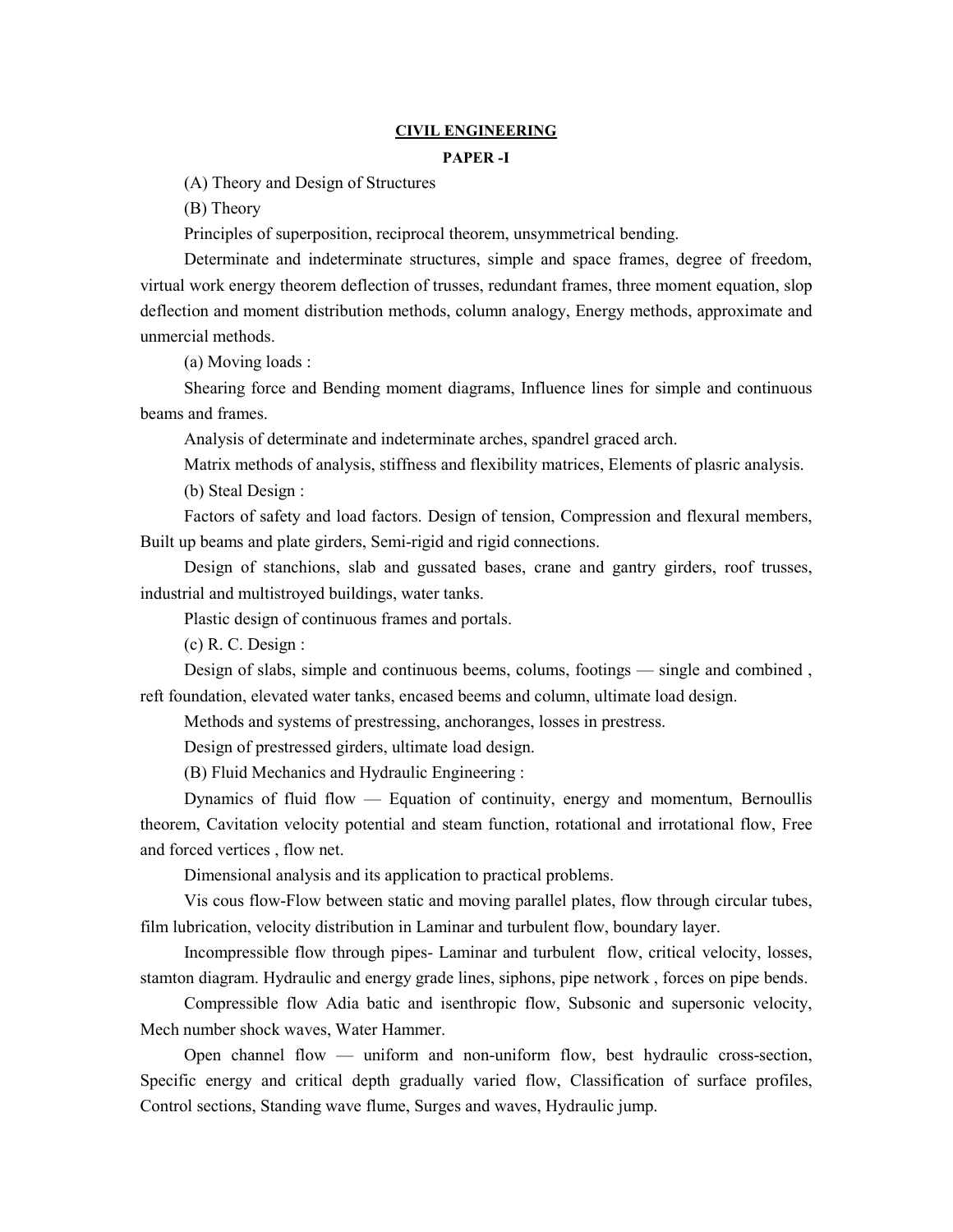### **CIVIL ENGINEERING**

### **PAPER -I**

(A) Theory and Design of Structures

(B) Theory

Principles of superposition, reciprocal theorem, unsymmetrical bending.

Determinate and indeterminate structures, simple and space frames, degree of freedom, virtual work energy theorem deflection of trusses, redundant frames, three moment equation, slop deflection and moment distribution methods, column analogy, Energy methods, approximate and unmercial methods.

(a) Moving loads :

Shearing force and Bending moment diagrams, Influence lines for simple and continuous beams and frames.

Analysis of determinate and indeterminate arches, spandrel graced arch.

Matrix methods of analysis, stiffness and flexibility matrices, Elements of plasric analysis. (b) Steal Design :

Factors of safety and load factors. Design of tension, Compression and flexural members, Built up beams and plate girders, Semi-rigid and rigid connections.

Design of stanchions, slab and gussated bases, crane and gantry girders, roof trusses, industrial and multistroyed buildings, water tanks.

Plastic design of continuous frames and portals.

(c) R. C. Design :

Design of slabs, simple and continuous beems, colums, footings — single and combined , reft foundation, elevated water tanks, encased beems and column, ultimate load design.

Methods and systems of prestressing, anchoranges, losses in prestress.

Design of prestressed girders, ultimate load design.

(B) Fluid Mechanics and Hydraulic Engineering :

Dynamics of fluid flow — Equation of continuity, energy and momentum, Bernoullis theorem, Cavitation velocity potential and steam function, rotational and irrotational flow, Free and forced vertices , flow net.

Dimensional analysis and its application to practical problems.

Vis cous flow-Flow between static and moving parallel plates, flow through circular tubes, film lubrication, velocity distribution in Laminar and turbulent flow, boundary layer.

Incompressible flow through pipes- Laminar and turbulent flow, critical velocity, losses, stamton diagram. Hydraulic and energy grade lines, siphons, pipe network , forces on pipe bends.

Compressible flow Adia batic and isenthropic flow, Subsonic and supersonic velocity, Mech number shock waves, Water Hammer.

Open channel flow — uniform and non-uniform flow, best hydraulic cross-section, Specific energy and critical depth gradually varied flow, Classification of surface profiles, Control sections, Standing wave flume, Surges and waves, Hydraulic jump.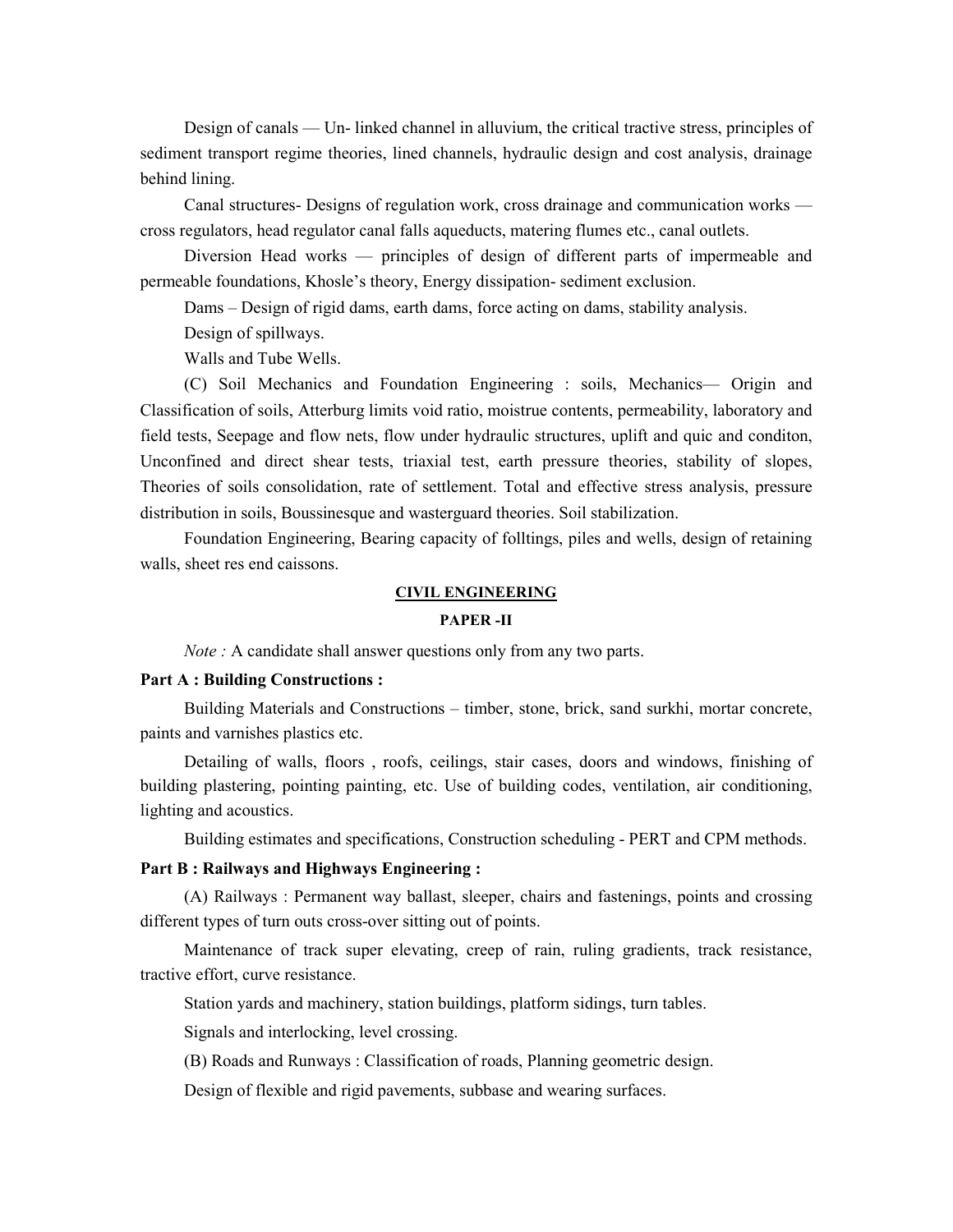Design of canals — Un- linked channel in alluvium, the critical tractive stress, principles of sediment transport regime theories, lined channels, hydraulic design and cost analysis, drainage behind lining.

Canal structures- Designs of regulation work, cross drainage and communication works cross regulators, head regulator canal falls aqueducts, matering flumes etc., canal outlets.

Diversion Head works — principles of design of different parts of impermeable and permeable foundations, Khosle's theory, Energy dissipation- sediment exclusion.

Dams – Design of rigid dams, earth dams, force acting on dams, stability analysis.

Design of spillways.

Walls and Tube Wells.

(C) Soil Mechanics and Foundation Engineering : soils, Mechanics— Origin and Classification of soils, Atterburg limits void ratio, moistrue contents, permeability, laboratory and field tests, Seepage and flow nets, flow under hydraulic structures, uplift and quic and conditon, Unconfined and direct shear tests, triaxial test, earth pressure theories, stability of slopes, Theories of soils consolidation, rate of settlement. Total and effective stress analysis, pressure distribution in soils, Boussinesque and wasterguard theories. Soil stabilization.

Foundation Engineering, Bearing capacity of folltings, piles and wells, design of retaining walls, sheet res end caissons.

### **CIVIL ENGINEERING**

#### **PAPER -II**

*Note* : A candidate shall answer questions only from any two parts.

## **Part A : Building Constructions :**

Building Materials and Constructions – timber, stone, brick, sand surkhi, mortar concrete, paints and varnishes plastics etc.

Detailing of walls, floors , roofs, ceilings, stair cases, doors and windows, finishing of building plastering, pointing painting, etc. Use of building codes, ventilation, air conditioning, lighting and acoustics.

Building estimates and specifications, Construction scheduling - PERT and CPM methods.

## **Part B : Railways and Highways Engineering :**

(A) Railways : Permanent way ballast, sleeper, chairs and fastenings, points and crossing different types of turn outs cross-over sitting out of points.

Maintenance of track super elevating, creep of rain, ruling gradients, track resistance, tractive effort, curve resistance.

Station yards and machinery, station buildings, platform sidings, turn tables.

Signals and interlocking, level crossing.

(B) Roads and Runways : Classification of roads, Planning geometric design.

Design of flexible and rigid pavements, subbase and wearing surfaces.